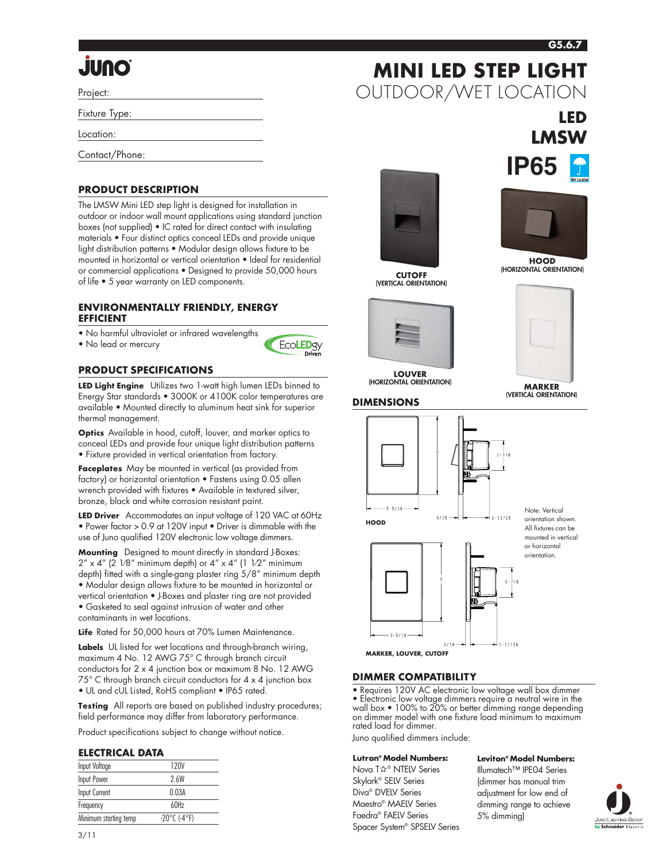# **G5.6.7**

**LED**

**LMSW**

**MINI LED STEP LIGHT**

OUTDOOR/WET LOCATION

# **Onul.**

Project:

Fixture Type:

Location:

Contact/Phone:

# **PRODUCT DESCRIPTION**

The LMSW Mini LED step light is designed for installation in outdoor or indoor wall mount applications using standard junction boxes (not supplied) • IC rated for direct contact with insulating materials • Four distinct optics conceal LEDs and provide unique light distribution patterns • Modular design allows fixture to be mounted in horizontal or vertical orientation • Ideal for residential or commercial applications • Designed to provide 50,000 hours of life • 5 year warranty on LED components.

#### **ENVIRONMENTALLY FRIENDLY, ENERGY EFFICIENT**

• No harmful ultraviolet or infrared wavelengths

• No lead or mercury



## **PRODUCT SPECIFICATIONS**

**LED Light Engine** Utilizes two 1-watt high lumen LEDs binned to Energy Star standards • 3000K or 4100K color temperatures are available • Mounted directly to aluminum heat sink for superior thermal management.

**Optics** Available in hood, cutoff, louver, and marker optics to conceal LEDs and provide four unique light distribution patterns • Fixture provided in vertical orientation from factory.

**Faceplates** May be mounted in vertical (as provided from factory) or horizontal orientation • Fastens using 0.05 allen wrench provided with fixtures • Available in textured silver, bronze, black and white corrosion resistant paint.

**LED Driver** Accommodates an input voltage of 120 VAC at 60Hz • Power factor > 0.9 at 120V input • Driver is dimmable with the use of Juno qualified 120V electronic low voltage dimmers.

**Mounting** Designed to mount directly in standard J-Boxes:  $2'' \times 4''$  (2 1/8" minimum depth) or  $4'' \times 4''$  (1 1/2" minimum depth) fitted with a single-gang plaster ring 5/8" minimum depth • Modular design allows fixture to be mounted in horizontal or vertical orientation • J-Boxes and plaster ring are not provided • Gasketed to seal against intrusion of water and other contaminants in wet locations.

**Life** Rated for 50,000 hours at 70% Lumen Maintenance.

**Labels** UL listed for wet locations and through-branch wiring, maximum 4 No. 12 AWG 75° C through branch circuit conductors for 2 x 4 junction box or maximum 8 No. 12 AWG 75° C through branch circuit conductors for 4 x 4 junction box • UL and cUL Listed, RoHS compliant • IP65 rated.

**Testing** All reports are based on published industry procedures; field performance may differ from laboratory performance.

Product specifications subject to change without notice.

#### **ELECTRICAL DATA**

| Input Voltage         | 120V                              |
|-----------------------|-----------------------------------|
| <b>Input Power</b>    | 2.6W                              |
| Input Current         | 0.03A                             |
| Frequency             | 60H <sub>7</sub>                  |
| Minimum starting temp | $-20^{\circ}$ C (-4 $^{\circ}$ F) |



**CUTOFF (VERTICAL ORIENTATION)**



**LOUVER (HORIZONTAL ORIENTATION) MARKER**



**IP65**



**(VERTICAL ORIENTATION)**





Note: Vertical orientation shown. All fixtures can be mounted in vertical or horizontal orientation.

 $5/16$ **MARKER, LOUVER, CUTOFF**

 $3 - 5/16$ 

## **DIMMER COMPATIBILITY**

• Requires 120V AC electronic low voltage wall box dimmer • Electronic low voltage dimmers require a neutral wire in the wall box • 100% to 20% or better dimming range depending on dimmer model with one fixture load minimum to maximum rated load for dimmer.

Juno qualified dimmers include:

#### **Lutron® Model Numbers:**

Nova T☆® NTELV Series Skylark® SELV Series Diva® DVELV Series Maestro® MAELV Series Faedra® FAELV Series Spacer System® SPSELV Series **Leviton® Model Numbers:** Illumatech™ IPE04 Series

 $1 - 11/16$ 

(dimmer has manual trim adjustment for low end of dimming range to achieve 5% dimming)